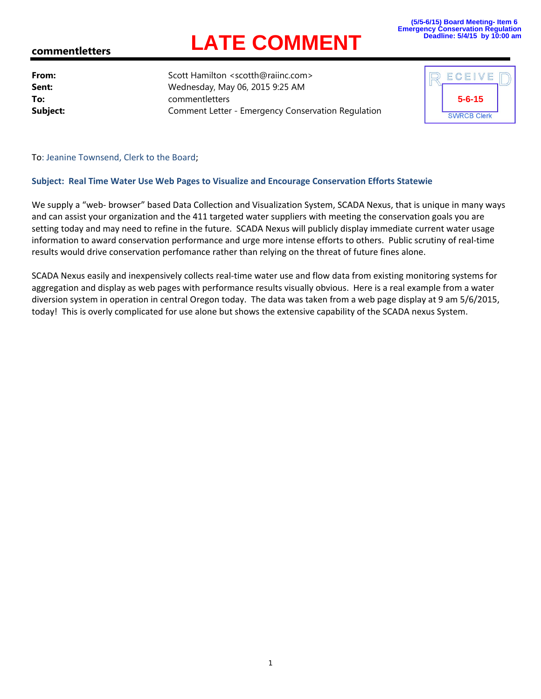## **LATE COMMENT**

## **commentletters**

**From:** Scott Hamilton <scotth@raiinc.com> **Sent:** Wednesday, May 06, 2015 9:25 AM **To:** commentletters **Subject:** Comment Letter - Emergency Conservation Regulation

| ECEIVE             |  |
|--------------------|--|
| $5 - 6 - 15$       |  |
| <b>SWRCB Clerk</b> |  |

To: Jeanine Townsend, Clerk to the Board;

## **Subject: Real Time Water Use Web Pages to Visualize and Encourage Conservation Efforts Statewie**

We supply a "web- browser" based Data Collection and Visualization System, SCADA Nexus, that is unique in many ways and can assist your organization and the 411 targeted water suppliers with meeting the conservation goals you are setting today and may need to refine in the future. SCADA Nexus will publicly display immediate current water usage information to award conservation performance and urge more intense efforts to others. Public scrutiny of real‐time results would drive conservation perfomance rather than relying on the threat of future fines alone.

SCADA Nexus easily and inexpensively collects real‐time water use and flow data from existing monitoring systems for aggregation and display as web pages with performance results visually obvious. Here is a real example from a water diversion system in operation in central Oregon today. The data was taken from a web page display at 9 am 5/6/2015, today! This is overly complicated for use alone but shows the extensive capability of the SCADA nexus System.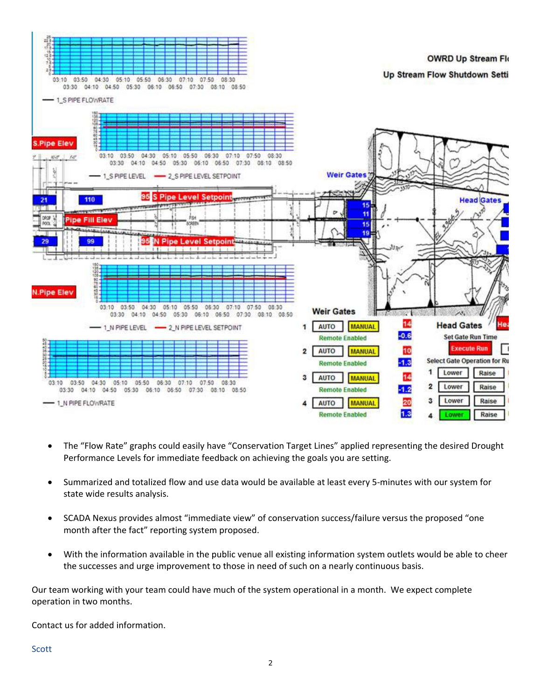

- The "Flow Rate" graphs could easily have "Conservation Target Lines" applied representing the desired Drought Performance Levels for immediate feedback on achieving the goals you are setting.
- Summarized and totalized flow and use data would be available at least every 5‐minutes with our system for state wide results analysis.
- SCADA Nexus provides almost "immediate view" of conservation success/failure versus the proposed "one month after the fact" reporting system proposed.
- With the information available in the public venue all existing information system outlets would be able to cheer the successes and urge improvement to those in need of such on a nearly continuous basis.

Our team working with your team could have much of the system operational in a month. We expect complete operation in two months.

Contact us for added information.

**Scott**